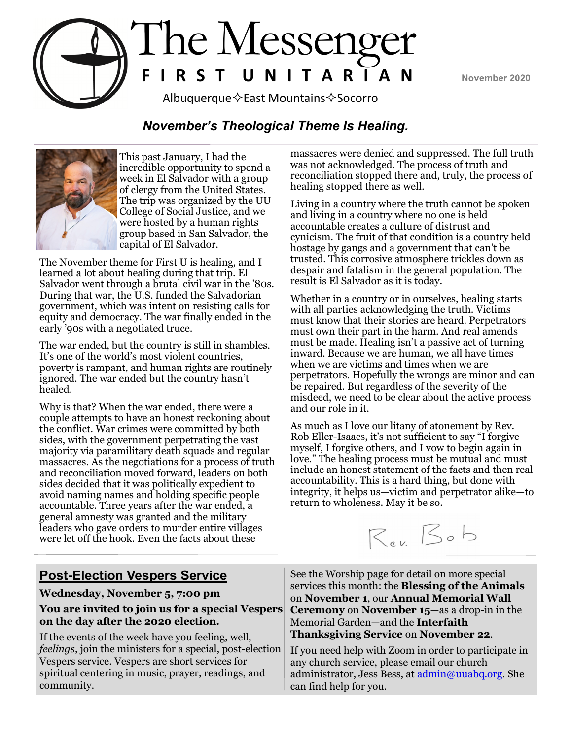November 2020



# Albuquerque  $\Diamond$  East Mountains  $\Diamond$  Socorro

#### *November's Theological Theme Is Healing.*



This past January, I had the incredible opportunity to spend a week in El Salvador with a group of clergy from the United States. The trip was organized by the UU College of Social Justice, and we were hosted by a human rights group based in San Salvador, the capital of El Salvador.

The November theme for First U is healing, and I learned a lot about healing during that trip. El Salvador went through a brutal civil war in the '80s. During that war, the U.S. funded the Salvadorian government, which was intent on resisting calls for equity and democracy. The war finally ended in the early '90s with a negotiated truce.

The war ended, but the country is still in shambles. It's one of the world's most violent countries, poverty is rampant, and human rights are routinely ignored. The war ended but the country hasn't healed.

Why is that? When the war ended, there were a couple attempts to have an honest reckoning about the conflict. War crimes were committed by both sides, with the government perpetrating the vast majority via paramilitary death squads and regular massacres. As the negotiations for a process of truth and reconciliation moved forward, leaders on both sides decided that it was politically expedient to avoid naming names and holding specific people accountable. Three years after the war ended, a general amnesty was granted and the military leaders who gave orders to murder entire villages were let off the hook. Even the facts about these

massacres were denied and suppressed. The full truth was not acknowledged. The process of truth and reconciliation stopped there and, truly, the process of healing stopped there as well.

Living in a country where the truth cannot be spoken and living in a country where no one is held accountable creates a culture of distrust and cynicism. The fruit of that condition is a country held hostage by gangs and a government that can't be trusted. This corrosive atmosphere trickles down as despair and fatalism in the general population. The result is El Salvador as it is today.

Whether in a country or in ourselves, healing starts with all parties acknowledging the truth. Victims must know that their stories are heard. Perpetrators must own their part in the harm. And real amends must be made. Healing isn't a passive act of turning inward. Because we are human, we all have times when we are victims and times when we are perpetrators. Hopefully the wrongs are minor and can be repaired. But regardless of the severity of the misdeed, we need to be clear about the active process and our role in it.

As much as I love our litany of atonement by Rev. Rob Eller-Isaacs, it's not sufficient to say "I forgive myself, I forgive others, and I vow to begin again in love." The healing process must be mutual and must include an honest statement of the facts and then real accountability. This is a hard thing, but done with integrity, it helps us—victim and perpetrator alike—to return to wholeness. May it be so.



#### **Post-Election Vespers Service**

**Wednesday, November 5, 7:00 pm**

#### **You are invited to join us for a special Vespers on the day after the 2020 election.**

If the events of the week have you feeling, well, *feelings*, join the ministers for a special, post-election Vespers service. Vespers are short services for spiritual centering in music, prayer, readings, and community.

See the Worship page for detail on more special services this month: the **Blessing of the Animals**  on **November 1**, our **Annual Memorial Wall Ceremony** on **November 15**—as a drop-in in the Memorial Garden—and the **Interfaith Thanksgiving Service** on **November 22**.

If you need help with Zoom in order to participate in any church service, please email our church administrator, Jess Bess, at admin@uuabq.org. She can find help for you.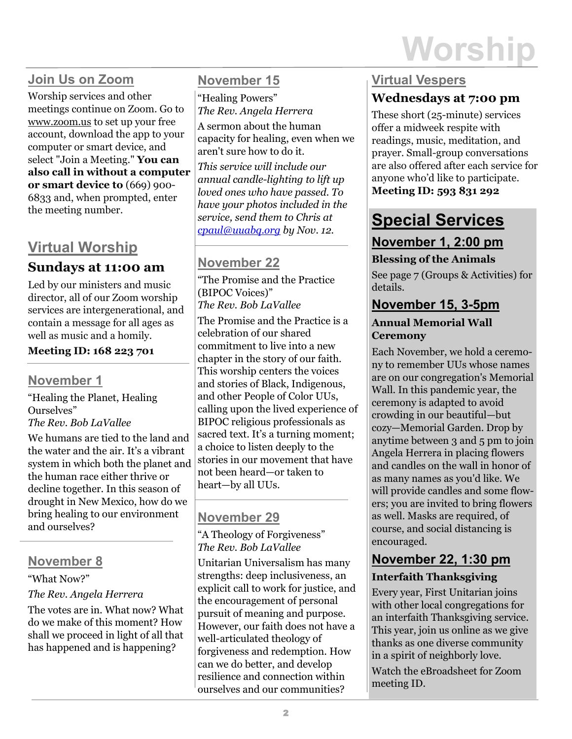# **Join Us on Zoom**

Worship services and other meetings continue on Zoom. Go to www.zoom.us to set up your free account, download the app to your computer or smart device, and select "Join a Meeting." **You can also call in without a computer or smart device to** (669) 900- 6833 and, when prompted, enter the meeting number.

# **Virtual Worship**

## **Sundays at 11:00 am**

Led by our ministers and music director, all of our Zoom worship services are intergenerational, and contain a message for all ages as well as music and a homily.

#### **Meeting ID: 168 223 701**

#### **November 1**

"Healing the Planet, Healing Ourselves" *The Rev. Bob LaVallee*

We humans are tied to the land and the water and the air. It's a vibrant system in which both the planet and the human race either thrive or decline together. In this season of drought in New Mexico, how do we bring healing to our environment and ourselves?

# **November 8**

#### "What Now?"

#### *The Rev. Angela Herrera*

The votes are in. What now? What do we make of this moment? How shall we proceed in light of all that has happened and is happening?

# **November 15**

"Healing Powers" *The Rev. Angela Herrera*

A sermon about the human capacity for healing, even when we aren't sure how to do it.

*This service will include our annual candle-lighting to lift up loved ones who have passed. To have your photos included in the service, send them to Chris at [cpaul@uuabq.org](mailto:cpaul@uuabq.org) by Nov. 12.*

# **November 22**

"The Promise and the Practice (BIPOC Voices)" *The Rev. Bob LaVallee*

The Promise and the Practice is a celebration of our shared commitment to live into a new chapter in the story of our faith. This worship centers the voices and stories of Black, Indigenous, and other People of Color UUs, calling upon the lived experience of BIPOC religious professionals as sacred text. It's a turning moment; a choice to listen deeply to the stories in our movement that have not been heard—or taken to heart—by all UUs.

# **November 29**

"A Theology of Forgiveness" *The Rev. Bob LaVallee*

Unitarian Universalism has many strengths: deep inclusiveness, an explicit call to work for justice, and the encouragement of personal pursuit of meaning and purpose. However, our faith does not have a well-articulated theology of forgiveness and redemption. How can we do better, and develop resilience and connection within ourselves and our communities?

#### **Virtual Vespers Wednesdays at 7:00 pm**

These short (25-minute) services offer a midweek respite with readings, music, meditation, and prayer. Small-group conversations are also offered after each service for anyone who'd like to participate. **Meeting ID: 593 831 292**

# **Special Services November 1, 2:00 pm**

#### **Blessing of the Animals**

See page 7 (Groups & Activities) for details.

# **November 15, 3-5pm**

#### **Annual Memorial Wall Ceremony**

Each November, we hold a ceremony to remember UUs whose names are on our congregation's Memorial Wall. In this pandemic year, the ceremony is adapted to avoid crowding in our beautiful—but cozy—Memorial Garden. Drop by anytime between 3 and 5 pm to join Angela Herrera in placing flowers and candles on the wall in honor of as many names as you'd like. We will provide candles and some flowers; you are invited to bring flowers as well. Masks are required, of course, and social distancing is encouraged.

# **November 22, 1:30 pm**

#### **Interfaith Thanksgiving**

Every year, First Unitarian joins with other local congregations for an interfaith Thanksgiving service. This year, join us online as we give thanks as one diverse community in a spirit of neighborly love.

Watch the eBroadsheet for Zoom meeting ID.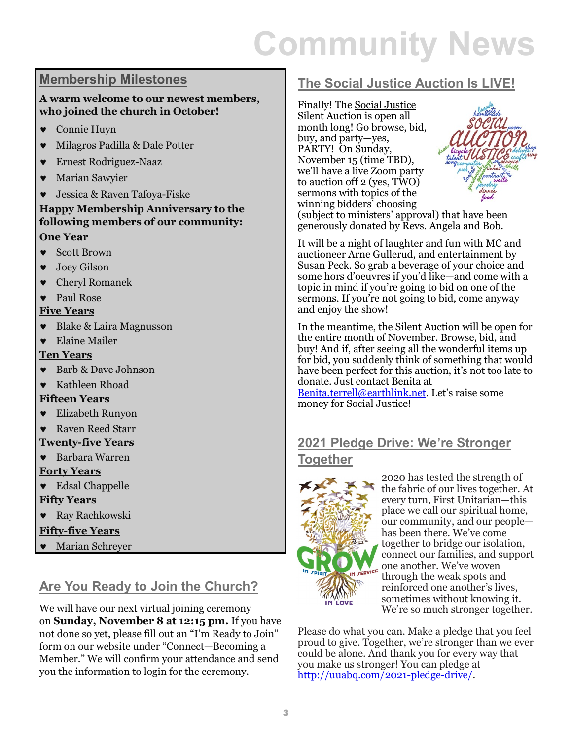# **Community News**

#### **Membership Milestones**

#### **A warm welcome to our newest members, who joined the church in October!**

- Connie Huyn
- Milagros Padilla & Dale Potter
- Ernest Rodriguez-Naaz
- Marian Sawyier
- Jessica & Raven Tafoya-Fiske

#### **Happy Membership Anniversary to the following members of our community: One Year**

- Scott Brown
- Joey Gilson
- Cheryl Romanek
- Paul Rose

#### **Five Years**

- Blake & Laira Magnusson
- Elaine Mailer

#### **Ten Years**

- Barb & Dave Johnson
- Kathleen Rhoad

#### **Fifteen Years**

Elizabeth Runyon

#### Raven Reed Starr

- **Twenty-five Years**
- Barbara Warren **Forty Years**
- Edsal Chappelle

#### **Fifty Years**

Ray Rachkowski

#### **Fifty-five Years**

Marian Schreyer

# **Are You Ready to Join the Church?**

We will have our next virtual joining ceremony on **Sunday, November 8 at 12:15 pm.** If you have not done so yet, please fill out an "I'm Ready to Join" form on our website under "Connect—Becoming a Member." We will confirm your attendance and send you the information to login for the ceremony.

## **The Social Justice Auction Is LIVE!**

Finally! The [Social Justice](https://www.facebook.com/groups/2622599427989989/)  [Silent Auction](https://www.facebook.com/groups/2622599427989989/) is open all month long! Go browse, bid, buy, and party—yes, PARTY! On Sunday, November 15 (time TBD), we'll have a live Zoom party to auction off 2 (yes, TWO) sermons with topics of the winning bidders' choosing



(subject to ministers' approval) that have been generously donated by Revs. Angela and Bob.

It will be a night of laughter and fun with MC and auctioneer Arne Gullerud, and entertainment by Susan Peck. So grab a beverage of your choice and some hors d'oeuvres if you'd like—and come with a topic in mind if you're going to bid on one of the sermons. If you're not going to bid, come anyway and enjoy the show!

In the meantime, the Silent Auction will be open for the entire month of November. Browse, bid, and buy! And if, after seeing all the wonderful items up for bid, you suddenly think of something that would have been perfect for this auction, it's not too late to donate. Just contact Benita at

[Benita.terrell@earthlink.net.](mailto:Benita.terrell@earthlink.net) Let's raise some money for Social Justice!

#### **2021 Pledge Drive: We're Stronger Together**



2020 has tested the strength of the fabric of our lives together. At every turn, First Unitarian—this place we call our spiritual home, our community, and our people has been there. We've come together to bridge our isolation, connect our families, and support one another. We've woven through the weak spots and reinforced one another's lives, sometimes without knowing it. We're so much stronger together.

Please do what you can. Make a pledge that you feel proud to give. Together, we're stronger than we ever could be alone. And thank you for every way that you make us stronger! You can pledge at http://uuabq.com/2021-pledge-drive/.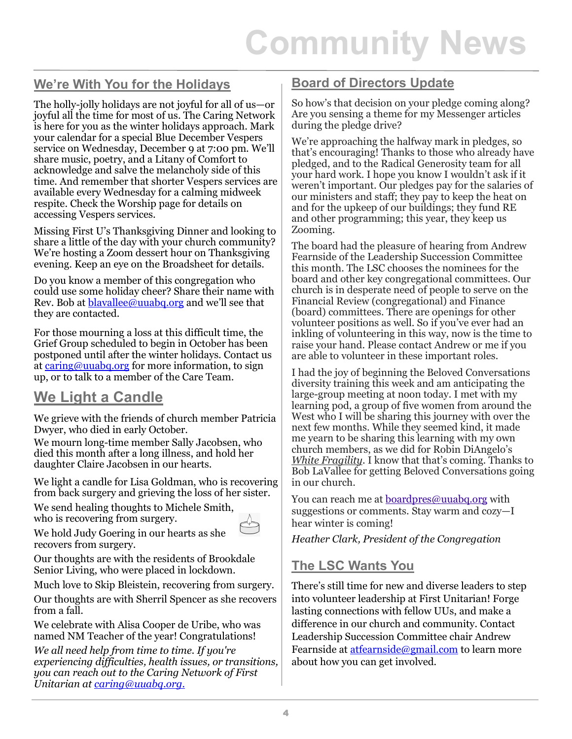#### **We're With You for the Holidays**

The holly-jolly holidays are not joyful for all of us—or joyful all the time for most of us. The Caring Network is here for you as the winter holidays approach. Mark your calendar for a special Blue December Vespers service on Wednesday, December 9 at 7:00 pm. We'll share music, poetry, and a Litany of Comfort to acknowledge and salve the melancholy side of this time. And remember that shorter Vespers services are available every Wednesday for a calming midweek respite. Check the Worship page for details on accessing Vespers services.

Missing First U's Thanksgiving Dinner and looking to share a little of the day with your church community? We're hosting a Zoom dessert hour on Thanksgiving evening. Keep an eye on the Broadsheet for details.

Do you know a member of this congregation who could use some holiday cheer? Share their name with Rev. Bob at **blayallee@uuabq.org** and we'll see that they are contacted.

For those mourning a loss at this difficult time, the Grief Group scheduled to begin in October has been postponed until after the winter holidays. Contact us at [caring@uuabq.org](mailto:caring@uuabq.org) for more information, to sign up, or to talk to a member of the Care Team.

# **We Light a Candle**

We grieve with the friends of church member Patricia Dwyer, who died in early October.

We mourn long-time member Sally Jacobsen, who died this month after a long illness, and hold her daughter Claire Jacobsen in our hearts.

We light a candle for Lisa Goldman, who is recovering from back surgery and grieving the loss of her sister.

We send healing thoughts to Michele Smith, who is recovering from surgery.



We hold Judy Goering in our hearts as she recovers from surgery.

Our thoughts are with the residents of Brookdale Senior Living, who were placed in lockdown.

Much love to Skip Bleistein, recovering from surgery.

Our thoughts are with Sherril Spencer as she recovers from a fall.

We celebrate with Alisa Cooper de Uribe, who was named NM Teacher of the year! Congratulations!

*We all need help from time to time. If you're experiencing difficulties, health issues, or transitions, you can reach out to the Caring Network of First Unitarian at caring@uuabq.org.*

#### **Board of Directors Update**

So how's that decision on your pledge coming along? Are you sensing a theme for my Messenger articles during the pledge drive?

We're approaching the halfway mark in pledges, so that's encouraging! Thanks to those who already have pledged, and to the Radical Generosity team for all your hard work. I hope you know I wouldn't ask if it weren't important. Our pledges pay for the salaries of our ministers and staff; they pay to keep the heat on and for the upkeep of our buildings; they fund RE and other programming; this year, they keep us Zooming.

The board had the pleasure of hearing from Andrew Fearnside of the Leadership Succession Committee this month. The LSC chooses the nominees for the board and other key congregational committees. Our church is in desperate need of people to serve on the Financial Review (congregational) and Finance (board) committees. There are openings for other volunteer positions as well. So if you've ever had an inkling of volunteering in this way, now is the time to raise your hand. Please contact Andrew or me if you are able to volunteer in these important roles.

I had the joy of beginning the Beloved Conversations diversity training this week and am anticipating the large-group meeting at noon today. I met with my learning pod, a group of five women from around the West who I will be sharing this journey with over the next few months. While they seemed kind, it made me yearn to be sharing this learning with my own church members, as we did for Robin DiAngelo's *White Fragility*. I know that that's coming. Thanks to Bob LaVallee for getting Beloved Conversations going in our church.

You can reach me at [boardpres@uuabq.org](mailto:boardpres@uuabq.org) with suggestions or comments. Stay warm and cozy—I hear winter is coming!

*Heather Clark, President of the Congregation*

#### **The LSC Wants You**

There's still time for new and diverse leaders to step into volunteer leadership at First Unitarian! Forge lasting connections with fellow UUs, and make a difference in our church and community. Contact Leadership Succession Committee chair Andrew Fearnside at atfearnside@gmail.com to learn more about how you can get involved.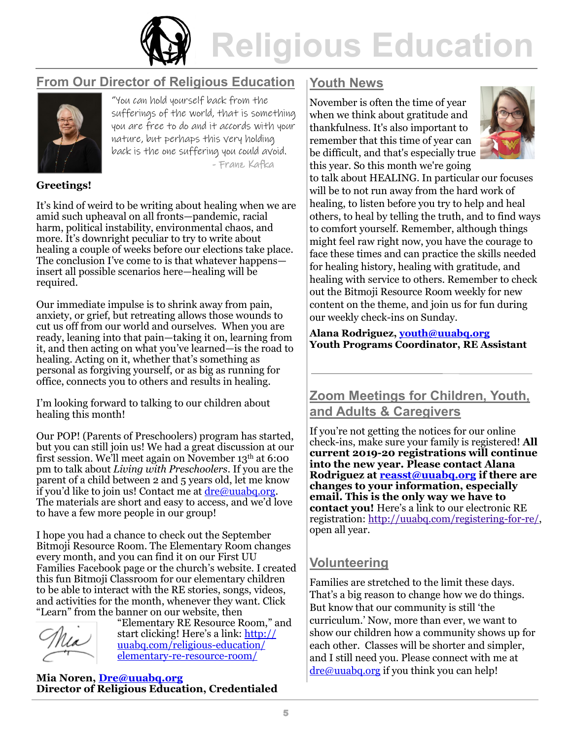

#### **From Our Director of Religious Education**



"You can hold yourself back from the sufferings of the world, that is something you are free to do and it accords with your nature, but perhaps this very holding back is the one suffering you could avoid. - Franz Kafka

#### **Greetings!**

It's kind of weird to be writing about healing when we are amid such upheaval on all fronts—pandemic, racial harm, political instability, environmental chaos, and more. It's downright peculiar to try to write about healing a couple of weeks before our elections take place. The conclusion I've come to is that whatever happens insert all possible scenarios here—healing will be required.

Our immediate impulse is to shrink away from pain, anxiety, or grief, but retreating allows those wounds to cut us off from our world and ourselves. When you are ready, leaning into that pain—taking it on, learning from it, and then acting on what you've learned—is the road to healing. Acting on it, whether that's something as personal as forgiving yourself, or as big as running for office, connects you to others and results in healing.

I'm looking forward to talking to our children about healing this month!

Our POP! (Parents of Preschoolers) program has started, but you can still join us! We had a great discussion at our first session. We'll meet again on November 13th at 6:00 pm to talk about *Living with Preschoolers*. If you are the parent of a child between 2 and 5 years old, let me know if you'd like to join us! Contact me at  $\frac{d\mathbf{r}}{d\mathbf{r}}$  uuabq.org. The materials are short and easy to access, and we'd love to have a few more people in our group!

I hope you had a chance to check out the September Bitmoji Resource Room. The Elementary Room changes every month, and you can find it on our First UU Families Facebook page or the church's website. I created this fun Bitmoji Classroom for our elementary children to be able to interact with the RE stories, songs, videos, and activities for the month, whenever they want. Click "Learn" from the banner on our website, then

"Elementary RE Resource Room," and start clicking! Here's a link: [http://](http://uuabq.com/religious-education/elementary-re-resource-room/) [uuabq.com/religious](http://uuabq.com/religious-education/elementary-re-resource-room/)-education/ [elementary](http://uuabq.com/religious-education/elementary-re-resource-room/)-re-resource-room/

**Mia Noren, [Dre@uuabq.org](mailto:Dre@uuabq.org) Director of Religious Education, Credentialed**

#### **Youth News**

November is often the time of year when we think about gratitude and thankfulness. It's also important to remember that this time of year can be difficult, and that's especially true this year. So this month we're going



to talk about HEALING. In particular our focuses will be to not run away from the hard work of healing, to listen before you try to help and heal others, to heal by telling the truth, and to find ways to comfort yourself. Remember, although things might feel raw right now, you have the courage to face these times and can practice the skills needed for healing history, healing with gratitude, and healing with service to others. Remember to check out the Bitmoji Resource Room weekly for new content on the theme, and join us for fun during our weekly check-ins on Sunday.

**Alana Rodriguez, [youth@uuabq.org](mailto:youth@uuabq.org) Youth Programs Coordinator, RE Assistant**

#### **Zoom Meetings for Children, Youth, and Adults & Caregivers**

If you're not getting the notices for our online check-ins, make sure your family is registered! **All current 2019-20 registrations will continue into the new year. Please contact Alana Rodriguez at [reasst@uuabq.org](mailto:reasst@uuabq.org) if there are changes to your information, especially email. This is the only way we have to contact you!** Here's a link to our electronic RE registration: [http://uuabq.com/registering](http://uuabq.com/registering-for-re/)-for-re/, open all year.

#### **Volunteering**

Families are stretched to the limit these days. That's a big reason to change how we do things. But know that our community is still 'the curriculum.' Now, more than ever, we want to show our children how a community shows up for each other. Classes will be shorter and simpler, and I still need you. Please connect with me at [dre@uuabq.org](mailto:dre@uuabq.org) if you think you can help!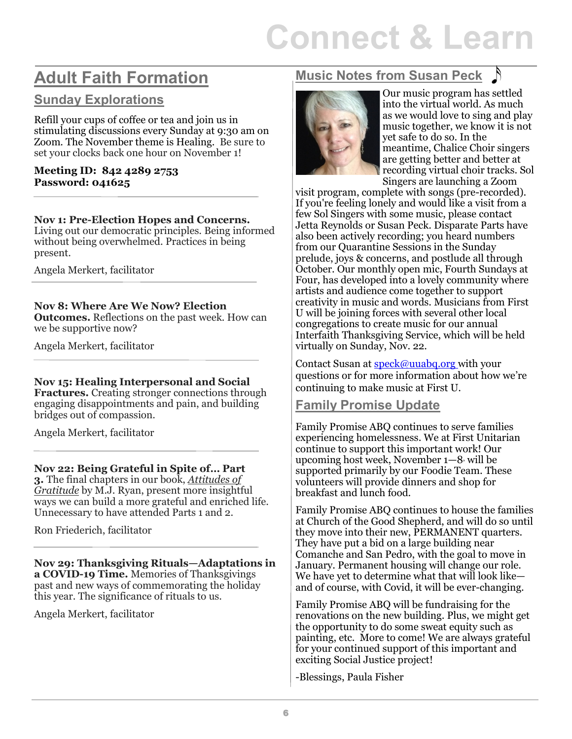# **Connect & Learn**

# **Adult Faith Formation**

#### **Sunday Explorations**

Refill your cups of coffee or tea and join us in stimulating discussions every Sunday at 9:30 am on Zoom. The November theme is Healing. Be sure to set your clocks back one hour on November 1!

#### **Meeting ID: 842 4289 2753 Password: 041625**

#### **Nov 1: Pre-Election Hopes and Concerns.**

Living out our democratic principles. Being informed without being overwhelmed. Practices in being present.

Angela Merkert, facilitator

#### **Nov 8: Where Are We Now? Election**

**Outcomes.** Reflections on the past week. How can we be supportive now?

Angela Merkert, facilitator

#### **Nov 15: Healing Interpersonal and Social**

**Fractures.** Creating stronger connections through engaging disappointments and pain, and building bridges out of compassion.

Angela Merkert, facilitator

#### **Nov 22: Being Grateful in Spite of… Part**

**3.** The final chapters in our book, *Attitudes of Gratitude* by M.J. Ryan, present more insightful ways we can build a more grateful and enriched life. Unnecessary to have attended Parts 1 and 2.

Ron Friederich, facilitator

**Nov 29: Thanksgiving Rituals—Adaptations in a COVID-19 Time.** Memories of Thanksgivings past and new ways of commemorating the holiday this year. The significance of rituals to us.

Angela Merkert, facilitator

#### **Music Notes from Susan Peck**



Our music program has settled into the virtual world. As much as we would love to sing and play music together, we know it is not yet safe to do so. In the meantime, Chalice Choir singers are getting better and better at recording virtual choir tracks. Sol Singers are launching a Zoom

visit program, complete with songs (pre-recorded). If you're feeling lonely and would like a visit from a few Sol Singers with some music, please contact Jetta Reynolds or Susan Peck. Disparate Parts have also been actively recording; you heard numbers from our Quarantine Sessions in the Sunday prelude, joys & concerns, and postlude all through October. Our monthly open mic, Fourth Sundays at Four, has developed into a lovely community where artists and audience come together to support creativity in music and words. Musicians from First U will be joining forces with several other local congregations to create music for our annual Interfaith Thanksgiving Service, which will be held virtually on Sunday, Nov. 22.

Contact Susan at **speck@uuabq.org** with your questions or for more information about how we're continuing to make music at First U.

#### **Family Promise Update**

Family Promise ABQ continues to serve families experiencing homelessness. We at First Unitarian continue to support this important work! Our upcoming host week, November 1—8, will be supported primarily by our Foodie Team. These volunteers will provide dinners and shop for breakfast and lunch food.

Family Promise ABQ continues to house the families at Church of the Good Shepherd, and will do so until they move into their new, PERMANENT quarters. They have put a bid on a large building near Comanche and San Pedro, with the goal to move in January. Permanent housing will change our role. We have yet to determine what that will look like and of course, with Covid, it will be ever-changing.

Family Promise ABQ will be fundraising for the renovations on the new building. Plus, we might get the opportunity to do some sweat equity such as painting, etc. More to come! We are always grateful for your continued support of this important and exciting Social Justice project!

-Blessings, Paula Fisher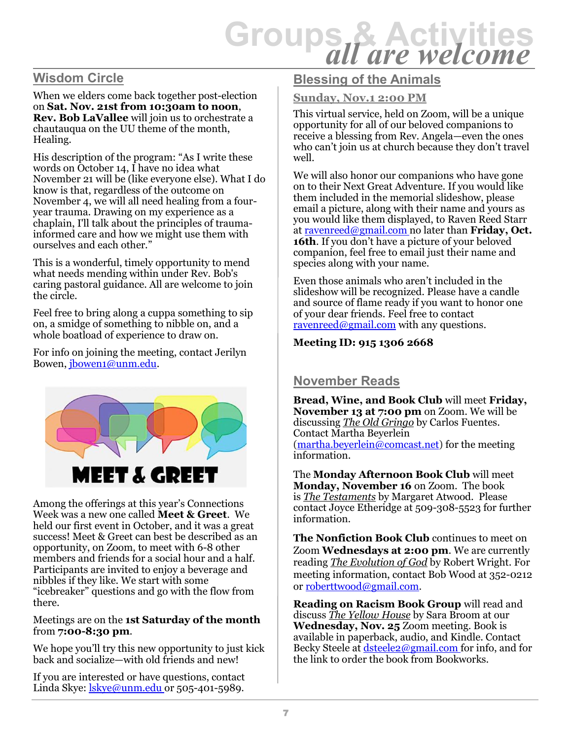# **Groups & Activities** *all are welcome*

#### **Wisdom Circle**

When we elders come back together post-election on **Sat. Nov. 21st from 10:30am to noon**, **Rev. Bob LaVallee** will join us to orchestrate a chautauqua on the UU theme of the month, Healing.

His description of the program: "As I write these words on October 14,  $\overline{I}$  have no idea what November 21 will be (like everyone else). What I do know is that, regardless of the outcome on November 4, we will all need healing from a fouryear trauma. Drawing on my experience as a chaplain, I'll talk about the principles of traumainformed care and how we might use them with ourselves and each other."

This is a wonderful, timely opportunity to mend what needs mending within under Rev. Bob's caring pastoral guidance. All are welcome to join the circle.

Feel free to bring along a cuppa something to sip on, a smidge of something to nibble on, and a whole boatload of experience to draw on.

For info on joining the meeting, contact Jerilyn Bowen, jbowen1@unm.edu.



Among the offerings at this year's Connections Week was a new one called **Meet & Greet**. We held our first event in October, and it was a great success! Meet & Greet can best be described as an opportunity, on Zoom, to meet with 6-8 other members and friends for a social hour and a half. Participants are invited to enjoy a beverage and nibbles if they like. We start with some "icebreaker" questions and go with the flow from there.

#### Meetings are on the **1st Saturday of the month**  from **7:00-8:30 pm**.

We hope you'll try this new opportunity to just kick back and socialize—with old friends and new!

If you are interested or have questions, contact Linda Skye:  $\frac{lskye@unm.edu}{l}$  or 505-401-5989.

#### **Blessing of the Animals**

#### **Sunday, Nov.1 2:00 PM**

This virtual service, held on Zoom, will be a unique opportunity for all of our beloved companions to receive a blessing from Rev. Angela—even the ones who can't join us at church because they don't travel well.

We will also honor our companions who have gone on to their Next Great Adventure. If you would like them included in the memorial slideshow, please email a picture, along with their name and yours as you would like them displayed, to Raven Reed Starr at ravenreed@gmail.com no later than **Friday, Oct. 16th**. If you don't have a picture of your beloved companion, feel free to email just their name and species along with your name.

Even those animals who aren't included in the slideshow will be recognized. Please have a candle and source of flame ready if you want to honor one of your dear friends. Feel free to contact ravenreed@gmail.com with any questions.

#### **Meeting ID: 915 1306 2668**

#### **November Reads**

**Bread, Wine, and Book Club** will meet **Friday, November 13 at 7:00 pm** on Zoom. We will be discussing *The Old Gringo* by Carlos Fuentes. Contact Martha Beyerlein (martha.beyerlein@comcast.net) for the meeting information.

The **Monday Afternoon Book Club** will meet **Monday, November 16** on Zoom. The book is *The Testaments* by Margaret Atwood. Please contact Joyce Etheridge at 509-308-5523 for further information.

**The Nonfiction Book Club** continues to meet on Zoom **Wednesdays at 2:00 pm**. We are currently reading *The Evolution of God* by Robert Wright. For meeting information, contact Bob Wood at 352-0212 or roberttwood@gmail.com.

**Reading on Racism Book Group** will read and discuss *The Yellow House* by Sara Broom at our **Wednesday, Nov. 25** Zoom meeting. Book is available in paperback, audio, and Kindle. Contact Becky Steele at dsteele2@gmail.com for info, and for the link to order the book from Bookworks.